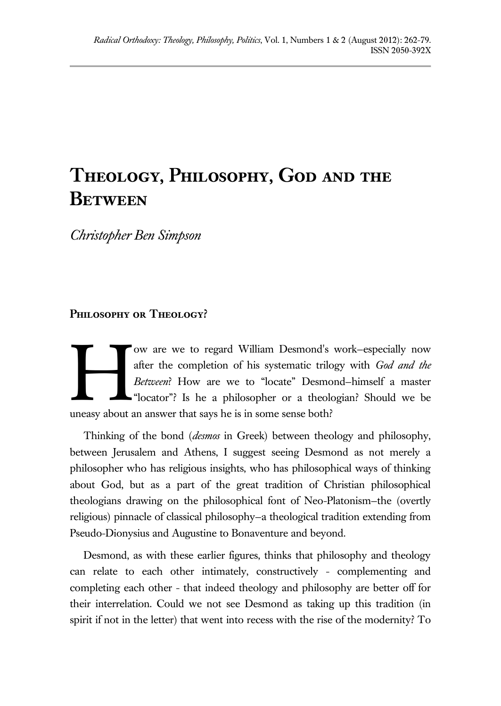# **Theology, Philosophy, God and the Between**

*Christopher Ben Simpson*

# PHILOSOPHY OR THEOLOGY?

ow are we to regard William Desmond's work—especially now after the completion of his systematic trilogy with *God and the Between*? How are we to "locate" Desmond—himself a master "locator"? Is he a philosopher or a theologian? Should we be uneasy about an answer that says he is in some sense both? H

Thinking of the bond (*desmos* in Greek) between theology and philosophy, between Jerusalem and Athens, I suggest seeing Desmond as not merely a philosopher who has religious insights, who has philosophical ways of thinking about God, but as a part of the great tradition of Christian philosophical theologians drawing on the philosophical font of Neo-Platonism—the (overtly religious) pinnacle of classical philosophy—a theological tradition extending from Pseudo-Dionysius and Augustine to Bonaventure and beyond.

Desmond, as with these earlier figures, thinks that philosophy and theology can relate to each other intimately, constructively - complementing and completing each other - that indeed theology and philosophy are better off for their interrelation. Could we not see Desmond as taking up this tradition (in spirit if not in the letter) that went into recess with the rise of the modernity? To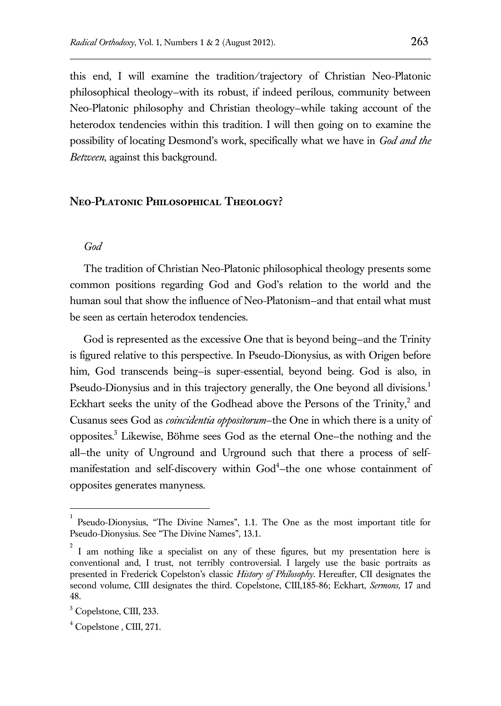this end, I will examine the tradition/trajectory of Christian Neo-Platonic philosophical theology—with its robust, if indeed perilous, community between Neo-Platonic philosophy and Christian theology—while taking account of the heterodox tendencies within this tradition. I will then going on to examine the possibility of locating Desmond's work, specifically what we have in *God and the Between*, against this background.

### **Neo-Platonic Philosophical Theology?**

#### *God*

The tradition of Christian Neo-Platonic philosophical theology presents some common positions regarding God and God's relation to the world and the human soul that show the influence of Neo-Platonism—and that entail what must be seen as certain heterodox tendencies.

God is represented as the excessive One that is beyond being—and the Trinity is figured relative to this perspective. In Pseudo-Dionysius, as with Origen before him, God transcends being-is super-essential, beyond being. God is also, in Pseudo-Dionysius and in this trajectory generally, the One beyond all divisions.<sup>1</sup> Eckhart seeks the unity of the Godhead above the Persons of the Trinity, $^2$  and Cusanus sees God as *coincidentia oppositorum*—the One in which there is a unity of opposites. <sup>3</sup> Likewise, Böhme sees God as the eternal One—the nothing and the all—the unity of Unground and Urground such that there a process of selfmanifestation and self-discovery within God<sup>4</sup>-the one whose containment of opposites generates manyness.

<sup>1</sup> Pseudo-Dionysius, "The Divine Names", 1.1. The One as the most important title for Pseudo-Dionysius. See "The Divine Names"*,* 13.1.

<sup>2</sup> I am nothing like a specialist on any of these figures, but my presentation here is conventional and, I trust, not terribly controversial. I largely use the basic portraits as presented in Frederick Copelston's classic *History of Philosophy*. Hereafter, CII designates the second volume, CIII designates the third. Copelstone, CIII,185-86; Eckhart, *Sermons,* 17 and 48.

<sup>&</sup>lt;sup>3</sup> Copelstone, CIII, 233.

 $4^4$  Copelstone, CIII, 271.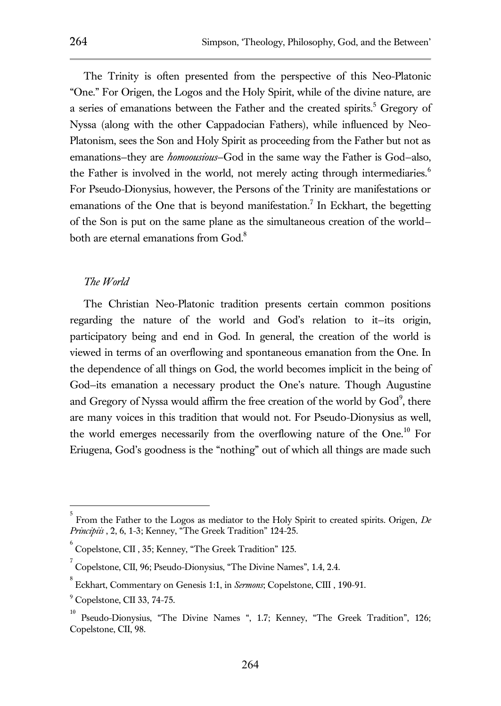The Trinity is often presented from the perspective of this Neo-Platonic "One." For Origen, the Logos and the Holy Spirit, while of the divine nature, are a series of emanations between the Father and the created spirits.<sup>5</sup> Gregory of Nyssa (along with the other Cappadocian Fathers), while influenced by Neo-Platonism, sees the Son and Holy Spirit as proceeding from the Father but not as emanations—they are *homoousious*—God in the same way the Father is God—also, the Father is involved in the world, not merely acting through intermediaries.<sup>6</sup> For Pseudo-Dionysius, however, the Persons of the Trinity are manifestations or emanations of the One that is beyond manifestation.<sup>7</sup> In Eckhart, the begetting of the Son is put on the same plane as the simultaneous creation of the world both are eternal emanations from God.<sup>8</sup>

## *The World*

The Christian Neo-Platonic tradition presents certain common positions regarding the nature of the world and God's relation to it—its origin, participatory being and end in God. In general, the creation of the world is viewed in terms of an overflowing and spontaneous emanation from the One. In the dependence of all things on God, the world becomes implicit in the being of God—its emanation a necessary product the One's nature. Though Augustine and Gregory of Nyssa would affirm the free creation of the world by God<sup>9</sup>, there are many voices in this tradition that would not. For Pseudo-Dionysius as well, the world emerges necessarily from the overflowing nature of the One.<sup>10</sup> For Eriugena, God's goodness is the "nothing" out of which all things are made such

<sup>5</sup> From the Father to the Logos as mediator to the Holy Spirit to created spirits. Origen, *De Principiis* , 2, 6, 1-3; Kenney, "The Greek Tradition" 124-25.

 $^6$  Copelstone, CII , 35; Kenney, "The Greek Tradition" 125.

<sup>7</sup> Copelstone, CII, 96; Pseudo-Dionysius, "The Divine Names", 1.4, 2.4.

<sup>8</sup> Eckhart, Commentary on Genesis 1:1, in *Sermons*; Copelstone, CIII , 190-91.

 $<sup>9</sup>$  Copelstone, CII 33, 74-75.</sup>

<sup>10</sup> Pseudo-Dionysius, "The Divine Names ", 1.7; Kenney, "The Greek Tradition", 126; Copelstone, CII, 98.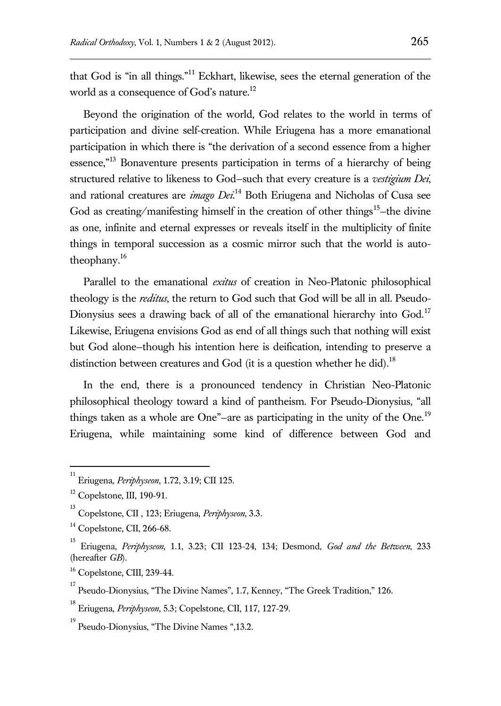that God is "in all things."<sup>11</sup> Eckhart, likewise, sees the eternal generation of the world as a consequence of God's nature.<sup>12</sup>

Beyond the origination of the world, God relates to the world in terms of participation and divine self-creation. While Eriugena has a more emanational participation in which there is "the derivation of a second essence from a higher essence,"<sup>13</sup> Bonaventure presents participation in terms of a hierarchy of being structured relative to likeness to God—such that every creature is a *vestigium Dei*, and rational creatures are *imago Dei*. <sup>14</sup> Both Eriugena and Nicholas of Cusa see God as creating/manifesting himself in the creation of other things<sup>15</sup>-the divine as one, infinite and eternal expresses or reveals itself in the multiplicity of finite things in temporal succession as a cosmic mirror such that the world is autotheophany.<sup>16</sup>

Parallel to the emanational *exitus* of creation in Neo-Platonic philosophical theology is the *reditus*, the return to God such that God will be all in all. Pseudo-Dionysius sees a drawing back of all of the emanational hierarchy into God.<sup>17</sup> Likewise, Eriugena envisions God as end of all things such that nothing will exist but God alone—though his intention here is deification, intending to preserve a distinction between creatures and God (it is a question whether he did).<sup>18</sup>

In the end, there is a pronounced tendency in Christian Neo-Platonic philosophical theology toward a kind of pantheism. For Pseudo-Dionysius, "all things taken as a whole are One"—are as participating in the unity of the One.<sup>19</sup> Eriugena, while maintaining some kind of difference between God and

<sup>-&</sup>lt;br>11 Eriugena, *Periphyseon*, 1.72, 3.19; CII 125.

<sup>12</sup> Copelstone, III, 190-91.

<sup>13</sup> Copelstone, CII , 123; Eriugena, *Periphyseon*, 3.3.

<sup>&</sup>lt;sup>14</sup> Copelstone, CII, 266-68.

<sup>15</sup> Eriugena, *Periphyseon*, 1.1, 3.23; CII 123-24, 134; Desmond, *God and the Between*, 233 (hereafter *GB*).

<sup>16</sup> Copelstone, CIII, 239-44.

<sup>17</sup> Pseudo-Dionysius, "The Divine Names", 1.7, Kenney, "The Greek Tradition," 126.

<sup>18</sup> Eriugena, *Periphyseon*, 5.3; Copelstone, CII, 117, 127-29.

<sup>19</sup> Pseudo-Dionysius, "The Divine Names ",13.2.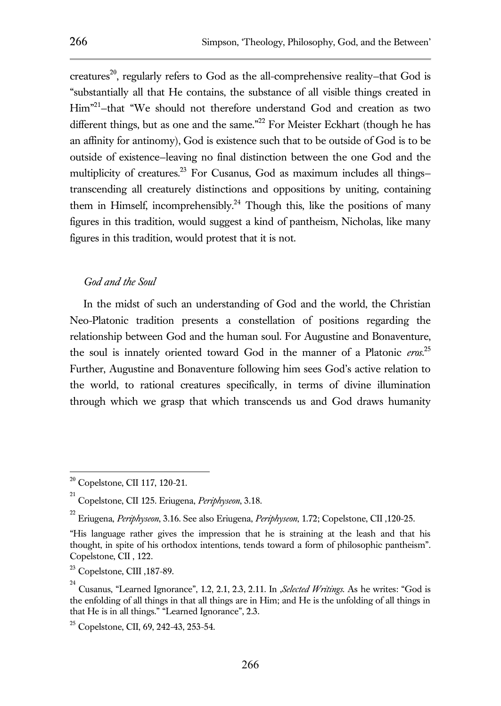creatures<sup>20</sup>, regularly refers to God as the all-comprehensive reality–that God is "substantially all that He contains, the substance of all visible things created in Him"<sup>21</sup> —that "We should not therefore understand God and creation as two different things, but as one and the same."<sup>22</sup> For Meister Eckhart (though he has an affinity for antinomy), God is existence such that to be outside of God is to be outside of existence—leaving no final distinction between the one God and the multiplicity of creatures.<sup>23</sup> For Cusanus, God as maximum includes all thingstranscending all creaturely distinctions and oppositions by uniting, containing them in Himself, incomprehensibly.<sup>24</sup> Though this, like the positions of many figures in this tradition, would suggest a kind of pantheism, Nicholas, like many figures in this tradition, would protest that it is not.

## *God and the Soul*

In the midst of such an understanding of God and the world, the Christian Neo-Platonic tradition presents a constellation of positions regarding the relationship between God and the human soul. For Augustine and Bonaventure, the soul is innately oriented toward God in the manner of a Platonic *eros*. 25 Further, Augustine and Bonaventure following him sees God's active relation to the world, to rational creatures specifically, in terms of divine illumination through which we grasp that which transcends us and God draws humanity

<sup>20</sup> Copelstone, CII 117, 120-21.

<sup>21</sup> Copelstone, CII 125. Eriugena, *Periphyseon*, 3.18.

<sup>22</sup> Eriugena, *Periphyseon*, 3.16. See also Eriugena, *Periphyseon*, 1.72; Copelstone, CII ,120-25.

<sup>&</sup>quot;His language rather gives the impression that he is straining at the leash and that his thought, in spite of his orthodox intentions, tends toward a form of philosophic pantheism". Copelstone, CII , 122.

 $23$  Copelstone, CIII, 187-89.

<sup>24</sup> Cusanus, "Learned Ignorance", 1.2, 2.1, 2.3, 2.11. In ,*Selected Writings.* As he writes: "God is the enfolding of all things in that all things are in Him; and He is the unfolding of all things in that He is in all things." "Learned Ignorance", 2.3.

 $25$  Copelstone, CII, 69, 242-43, 253-54.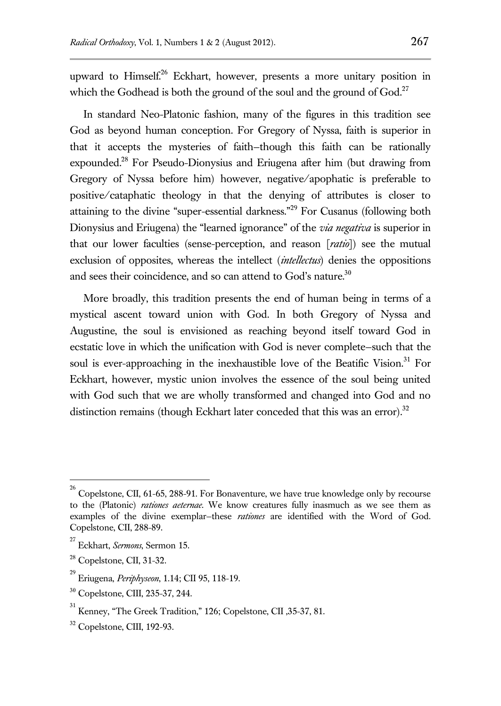upward to Himself.<sup>26</sup> Eckhart, however, presents a more unitary position in which the Godhead is both the ground of the soul and the ground of  $God.^{27}$ 

In standard Neo-Platonic fashion, many of the figures in this tradition see God as beyond human conception. For Gregory of Nyssa, faith is superior in that it accepts the mysteries of faith—though this faith can be rationally expounded.<sup>28</sup> For Pseudo-Dionysius and Eriugena after him (but drawing from Gregory of Nyssa before him) however, negative/apophatic is preferable to positive/cataphatic theology in that the denying of attributes is closer to attaining to the divine "super-essential darkness."<sup>29</sup> For Cusanus (following both Dionysius and Eriugena) the "learned ignorance" of the *via negativa* is superior in that our lower faculties (sense-perception, and reason [*ratio*]) see the mutual exclusion of opposites, whereas the intellect (*intellectus*) denies the oppositions and sees their coincidence, and so can attend to God's nature.<sup>30</sup>

More broadly, this tradition presents the end of human being in terms of a mystical ascent toward union with God. In both Gregory of Nyssa and Augustine, the soul is envisioned as reaching beyond itself toward God in ecstatic love in which the unification with God is never complete—such that the soul is ever-approaching in the inexhaustible love of the Beatific Vision.<sup>31</sup> For Eckhart, however, mystic union involves the essence of the soul being united with God such that we are wholly transformed and changed into God and no distinction remains (though Eckhart later conceded that this was an error).<sup>32</sup>

<sup>26</sup> Copelstone, CII, 61-65, 288-91. For Bonaventure, we have true knowledge only by recourse to the (Platonic) *rationes aeternae.* We know creatures fully inasmuch as we see them as examples of the divine exemplar—these *rationes* are identified with the Word of God. Copelstone, CII, 288-89.

<sup>27</sup> Eckhart, *Sermons*, Sermon 15.

<sup>28</sup> Copelstone, CII, 31-32.

<sup>29</sup> Eriugena, *Periphyseon*, 1.14; CII 95, 118-19.

<sup>30</sup> Copelstone, CIII, 235-37, 244.

<sup>31</sup> Kenney, "The Greek Tradition," 126; Copelstone, CII ,35-37, 81.

<sup>32</sup> Copelstone, CIII, 192-93.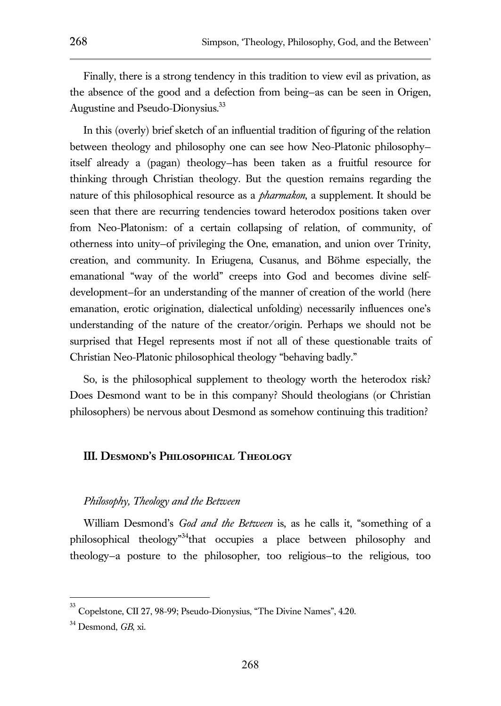Finally, there is a strong tendency in this tradition to view evil as privation, as the absence of the good and a defection from being—as can be seen in Origen, Augustine and Pseudo-Dionysius.<sup>33</sup>

In this (overly) brief sketch of an influential tradition of figuring of the relation between theology and philosophy one can see how Neo-Platonic philosophy itself already a (pagan) theology—has been taken as a fruitful resource for thinking through Christian theology. But the question remains regarding the nature of this philosophical resource as a *pharmakon*, a supplement. It should be seen that there are recurring tendencies toward heterodox positions taken over from Neo-Platonism: of a certain collapsing of relation, of community, of otherness into unity—of privileging the One, emanation, and union over Trinity, creation, and community. In Eriugena, Cusanus, and Böhme especially, the emanational "way of the world" creeps into God and becomes divine selfdevelopment—for an understanding of the manner of creation of the world (here emanation, erotic origination, dialectical unfolding) necessarily influences one's understanding of the nature of the creator/origin. Perhaps we should not be surprised that Hegel represents most if not all of these questionable traits of Christian Neo-Platonic philosophical theology "behaving badly."

So, is the philosophical supplement to theology worth the heterodox risk? Does Desmond want to be in this company? Should theologians (or Christian philosophers) be nervous about Desmond as somehow continuing this tradition?

## **III. Desmond's Philosophical Theology**

#### *Philosophy, Theology and the Between*

William Desmond's *God and the Between* is, as he calls it, "something of a philosophical theology<sup>334</sup>that occupies a place between philosophy and theology—a posture to the philosopher, too religious—to the religious, too

<sup>33</sup> Copelstone, CII 27, 98-99; Pseudo-Dionysius, "The Divine Names", 4.20.

<sup>34</sup> Desmond, *GB*, xi.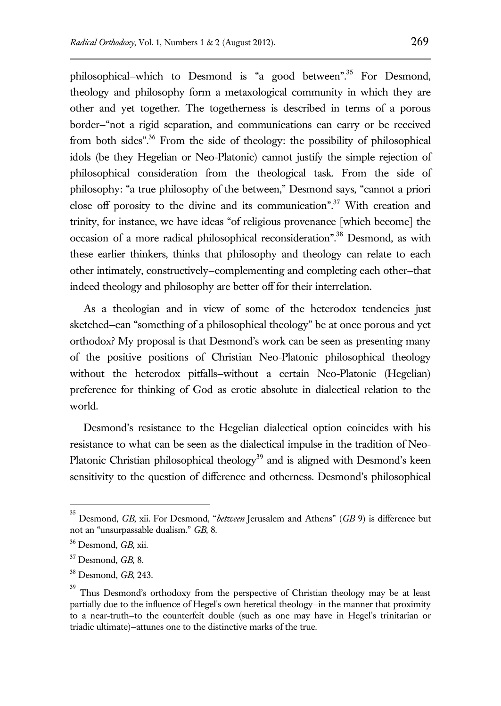philosophical–which to Desmond is "a good between".<sup>35</sup> For Desmond, theology and philosophy form a metaxological community in which they are other and yet together. The togetherness is described in terms of a porous border—"not a rigid separation, and communications can carry or be received from both sides".<sup>36</sup> From the side of theology: the possibility of philosophical idols (be they Hegelian or Neo-Platonic) cannot justify the simple rejection of philosophical consideration from the theological task. From the side of philosophy: "a true philosophy of the between," Desmond says, "cannot a priori close off porosity to the divine and its communication".<sup>37</sup> With creation and trinity, for instance, we have ideas "of religious provenance [which become] the occasion of a more radical philosophical reconsideration".<sup>38</sup> Desmond, as with these earlier thinkers, thinks that philosophy and theology can relate to each other intimately, constructively—complementing and completing each other—that indeed theology and philosophy are better off for their interrelation.

As a theologian and in view of some of the heterodox tendencies just sketched—can "something of a philosophical theology" be at once porous and yet orthodox? My proposal is that Desmond's work can be seen as presenting many of the positive positions of Christian Neo-Platonic philosophical theology without the heterodox pitfalls—without a certain Neo-Platonic (Hegelian) preference for thinking of God as erotic absolute in dialectical relation to the world.

Desmond's resistance to the Hegelian dialectical option coincides with his resistance to what can be seen as the dialectical impulse in the tradition of Neo-Platonic Christian philosophical theology<sup>39</sup> and is aligned with Desmond's keen sensitivity to the question of difference and otherness. Desmond's philosophical

<sup>35</sup> Desmond, *GB*, xii. For Desmond, "*between* Jerusalem and Athens" (*GB* 9) is difference but not an "unsurpassable dualism." *GB*, 8.

<sup>36</sup> Desmond, *GB*, xii.

<sup>37</sup> Desmond, *GB*, 8.

<sup>38</sup> Desmond, *GB*, 243.

<sup>39</sup> Thus Desmond's orthodoxy from the perspective of Christian theology may be at least partially due to the influence of Hegel's own heretical theology—in the manner that proximity to a near-truth—to the counterfeit double (such as one may have in Hegel's trinitarian or triadic ultimate)—attunes one to the distinctive marks of the true.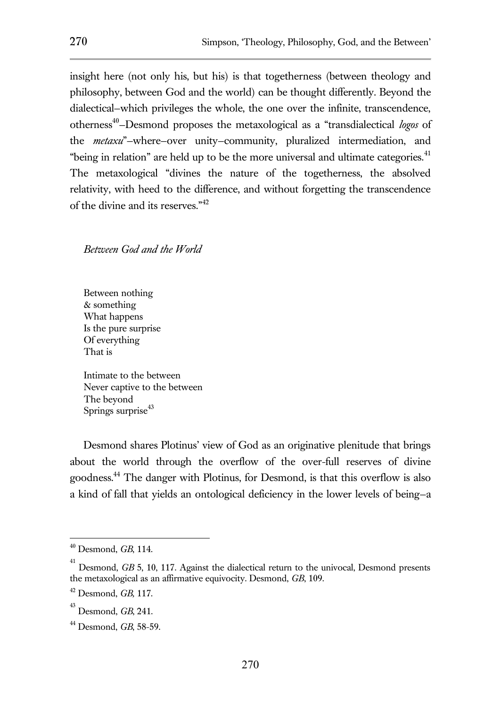insight here (not only his, but his) is that togetherness (between theology and philosophy, between God and the world) can be thought differently. Beyond the dialectical—which privileges the whole, the one over the infinite, transcendence, otherness<sup>40</sup>–Desmond proposes the metaxological as a "transdialectical *logos* of the *metaxu*"—where—over unity—community, pluralized intermediation, and "being in relation" are held up to be the more universal and ultimate categories.<sup>41</sup> The metaxological "divines the nature of the togetherness, the absolved relativity, with heed to the difference, and without forgetting the transcendence of the divine and its reserves."<sup>42</sup>

# *Between God and the World*

Between nothing & something What happens Is the pure surprise Of everything That is

Intimate to the between Never captive to the between The beyond Springs surprise $43$ 

Desmond shares Plotinus' view of God as an originative plenitude that brings about the world through the overflow of the over-full reserves of divine goodness.<sup>44</sup> The danger with Plotinus, for Desmond, is that this overflow is also a kind of fall that yields an ontological deficiency in the lower levels of being—a

<sup>40</sup> Desmond, *GB*, 114.

<sup>41</sup> Desmond, *GB* 5, 10, 117. Against the dialectical return to the univocal, Desmond presents the metaxological as an affirmative equivocity. Desmond, *GB*, 109.

<sup>42</sup> Desmond, *GB,* 117.

<sup>43</sup> Desmond, *GB*, 241.

<sup>44</sup> Desmond, *GB*, 58-59.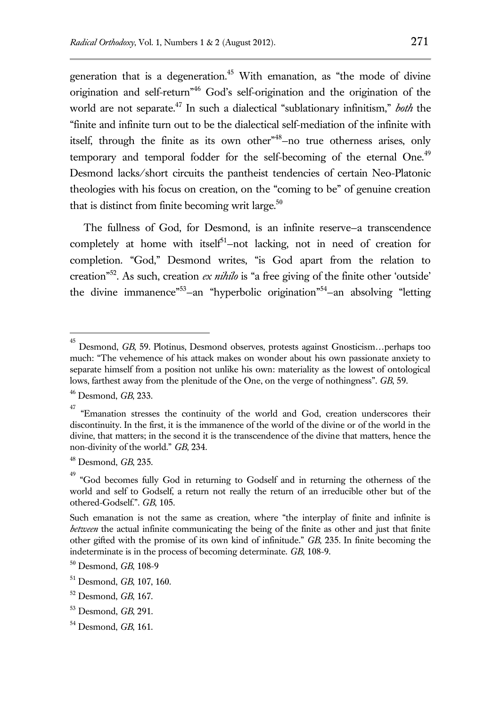generation that is a degeneration.<sup>45</sup> With emanation, as "the mode of divine origination and self-return"<sup>46</sup> God's self-origination and the origination of the world are not separate.<sup>47</sup> In such a dialectical "sublationary infinitism," *both* the "finite and infinite turn out to be the dialectical self-mediation of the infinite with itself, through the finite as its own other<sup>"48</sup>-no true otherness arises, only temporary and temporal fodder for the self-becoming of the eternal One.<sup>49</sup> Desmond lacks/short circuits the pantheist tendencies of certain Neo-Platonic theologies with his focus on creation, on the "coming to be" of genuine creation that is distinct from finite becoming writ large. $50$ 

The fullness of God, for Desmond, is an infinite reserve—a transcendence completely at home with itself $5^1$ -not lacking, not in need of creation for completion. "God," Desmond writes, "is God apart from the relation to creation"<sup>52</sup> . As such, creation *ex nihilo* is "a free giving of the finite other 'outside' the divine immanence<sup>"53</sup>-an "hyperbolic origination<sup>"54</sup>-an absolving "letting"

<sup>45</sup> Desmond, *GB*, 59. Plotinus, Desmond observes, protests against Gnosticism…perhaps too much: "The vehemence of his attack makes on wonder about his own passionate anxiety to separate himself from a position not unlike his own: materiality as the lowest of ontological lows, farthest away from the plenitude of the One, on the verge of nothingness". *GB*, 59.

<sup>46</sup> Desmond, *GB*, 233.

<sup>&</sup>lt;sup>47</sup> "Emanation stresses the continuity of the world and God, creation underscores their discontinuity. In the first, it is the immanence of the world of the divine or of the world in the divine, that matters; in the second it is the transcendence of the divine that matters, hence the non-divinity of the world." *GB*, 234.

<sup>48</sup> Desmond, *GB*, 235.

<sup>&</sup>lt;sup>49</sup> "God becomes fully God in returning to Godself and in returning the otherness of the world and self to Godself, a return not really the return of an irreducible other but of the othered-Godself.". *GB*, 105.

Such emanation is not the same as creation, where "the interplay of finite and infinite is *between* the actual infinite communicating the being of the finite as other and just that finite other gifted with the promise of its own kind of infinitude." *GB,* 235. In finite becoming the indeterminate is in the process of becoming determinate. *GB*, 108-9.

<sup>50</sup> Desmond, *GB*, 108-9

<sup>51</sup> Desmond, *GB*, 107, 160.

<sup>52</sup> Desmond, *GB*, 167.

<sup>53</sup> Desmond, *GB*, 291.

<sup>54</sup> Desmond, *GB*, 161.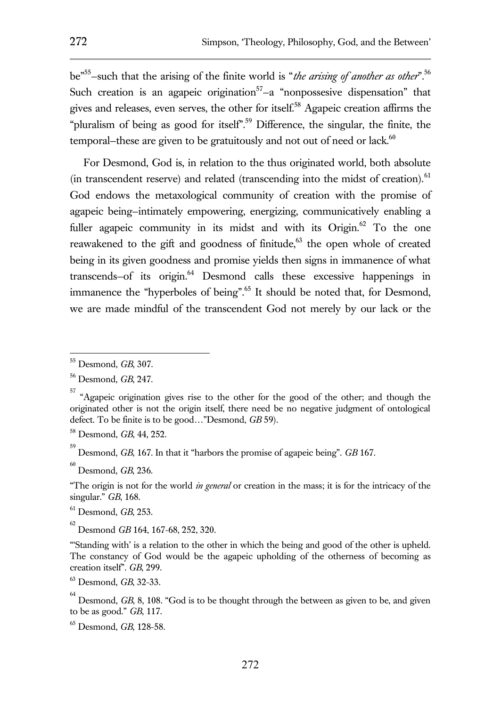be<sup>"55</sup>-such that the arising of the finite world is "*the arising of another as other*".<sup>56</sup> Such creation is an agapeic origination<sup>57</sup> $-a$  "nonpossesive dispensation" that gives and releases, even serves, the other for itself.<sup>58</sup> Agapeic creation affirms the "pluralism of being as good for itself".<sup>59</sup> Difference, the singular, the finite, the temporal–these are given to be gratuitously and not out of need or lack.<sup>60</sup>

For Desmond, God is, in relation to the thus originated world, both absolute (in transcendent reserve) and related (transcending into the midst of creation). $61$ God endows the metaxological community of creation with the promise of agapeic being—intimately empowering, energizing, communicatively enabling a fuller agapeic community in its midst and with its Origin. $62$  To the one reawakened to the gift and goodness of finitude.<sup>63</sup> the open whole of created being in its given goodness and promise yields then signs in immanence of what transcends–of its origin.<sup>64</sup> Desmond calls these excessive happenings in immanence the "hyperboles of being".<sup>65</sup> It should be noted that, for Desmond, we are made mindful of the transcendent God not merely by our lack or the

 $\overline{a}$ 

60 Desmond, *GB*, 236.

"The origin is not for the world *in general* or creation in the mass; it is for the intricacy of the singular." *GB*, 168.

<sup>61</sup> Desmond, *GB*, 253.

62 Desmond *GB* 164, 167-68, 252, 320.

"'Standing with' is a relation to the other in which the being and good of the other is upheld. The constancy of God would be the agapeic upholding of the otherness of becoming as creation itself". *GB*, 299.

<sup>63</sup> Desmond, *GB*, 32-33.

<sup>55</sup> Desmond, *GB*, 307.

<sup>56</sup> Desmond, *GB*, 247.

<sup>&</sup>lt;sup>57</sup> "Agapeic origination gives rise to the other for the good of the other; and though the originated other is not the origin itself, there need be no negative judgment of ontological defect. To be finite is to be good…"Desmond, *GB* 59).

<sup>58</sup> Desmond, *GB*, 44, 252.

<sup>59</sup> Desmond, *GB*, 167. In that it "harbors the promise of agapeic being". *GB* 167.

<sup>64</sup> Desmond, *GB*, 8, 108. "God is to be thought through the between as given to be, and given to be as good." *GB*, 117.

<sup>65</sup> Desmond, *GB*, 128-58.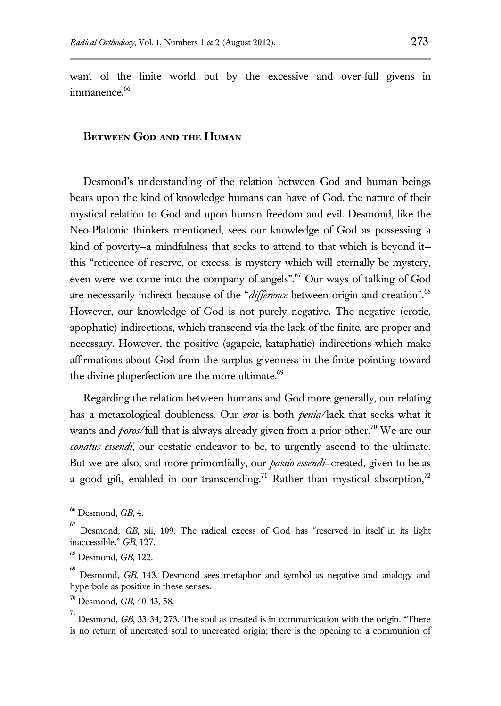want of the finite world but by the excessive and over-full givens in immanence.<sup>66</sup>

# **Between God and the Human**

Desmond's understanding of the relation between God and human beings bears upon the kind of knowledge humans can have of God, the nature of their mystical relation to God and upon human freedom and evil. Desmond, like the Neo-Platonic thinkers mentioned, sees our knowledge of God as possessing a kind of poverty-a mindfulness that seeks to attend to that which is beyond itthis "reticence of reserve, or excess, is mystery which will eternally be mystery, even were we come into the company of angels".<sup>67</sup> Our ways of talking of God are necessarily indirect because of the "*difference* between origin and creation".<sup>68</sup> However, our knowledge of God is not purely negative. The negative (erotic, apophatic) indirections, which transcend via the lack of the finite, are proper and necessary. However, the positive (agapeic, kataphatic) indirections which make affirmations about God from the surplus givenness in the finite pointing toward the divine pluperfection are the more ultimate.<sup>69</sup>

Regarding the relation between humans and God more generally, our relating has a metaxological doubleness. Our *eros* is both *penia*/lack that seeks what it wants and *poros*/full that is always already given from a prior other.<sup>70</sup> We are our *conatus essendi*, our ecstatic endeavor to be, to urgently ascend to the ultimate. But we are also, and more primordially, our *passio essendi*—created, given to be as a good gift, enabled in our transcending.<sup>71</sup> Rather than mystical absorption.<sup>72</sup>

<sup>66</sup> Desmond, *GB*, 4.

<sup>67</sup> Desmond, *GB*, xii, 109. The radical excess of God has "reserved in itself in its light inaccessible." *GB*, 127.

<sup>68</sup> Desmond, *GB*, 122.

<sup>69</sup> Desmond, *GB*, 143. Desmond sees metaphor and symbol as negative and analogy and hyperbole as positive in these senses.

<sup>70</sup> Desmond, *GB*, 40-43, 58.

<sup>71</sup> Desmond, *GB*, 33-34, 273. The soul as created is in communication with the origin. "There is no return of uncreated soul to uncreated origin; there is the opening to a communion of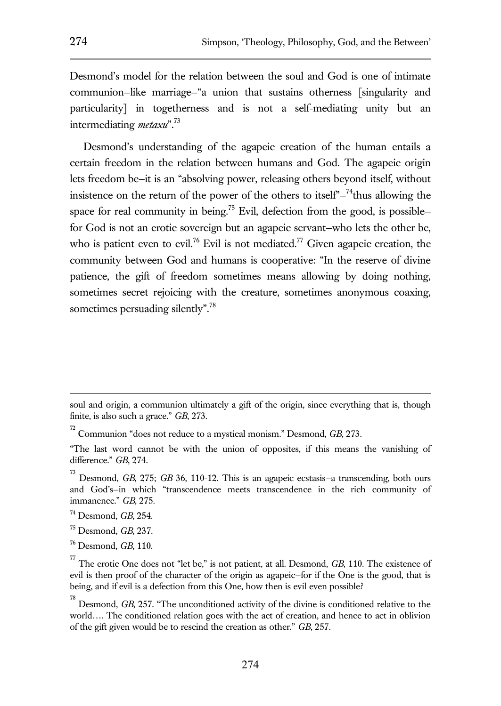Desmond's model for the relation between the soul and God is one of intimate communion—like marriage—"a union that sustains otherness [singularity and particularity] in togetherness and is not a self-mediating unity but an intermediating *metaxu*". 73

Desmond's understanding of the agapeic creation of the human entails a certain freedom in the relation between humans and God. The agapeic origin lets freedom be—it is an "absolving power, releasing others beyond itself, without insistence on the return of the power of the others to itself" $-$ <sup>74</sup>thus allowing the space for real community in being.<sup>75</sup> Evil, defection from the good, is possiblefor God is not an erotic sovereign but an agapeic servant—who lets the other be, who is patient even to evil.<sup>76</sup> Evil is not mediated.<sup>77</sup> Given agapeic creation, the community between God and humans is cooperative: "In the reserve of divine patience, the gift of freedom sometimes means allowing by doing nothing, sometimes secret rejoicing with the creature, sometimes anonymous coaxing, sometimes persuading silently".<sup>78</sup>

soul and origin, a communion ultimately a gift of the origin, since everything that is, though finite, is also such a grace." *GB*, 273.

<sup>72</sup> Communion "does not reduce to a mystical monism." Desmond, *GB*, 273.

<sup>&</sup>quot;The last word cannot be with the union of opposites, if this means the vanishing of difference." *GB*, 274.

<sup>73</sup> Desmond, *GB*, 275; *GB* 36, 110-12. This is an agapeic ecstasis—a transcending, both ours and God's—in which "transcendence meets transcendence in the rich community of immanence." *GB*, 275.

<sup>74</sup> Desmond, *GB*, 254.

<sup>75</sup> Desmond, *GB*, 237.

<sup>76</sup> Desmond, *GB*, 110.

<sup>77</sup> The erotic One does not "let be," is not patient, at all. Desmond, *GB*, 110. The existence of evil is then proof of the character of the origin as agapeic—for if the One is the good, that is being, and if evil is a defection from this One, how then is evil even possible?

<sup>&</sup>lt;sup>78</sup> Desmond, *GB*, 257. "The unconditioned activity of the divine is conditioned relative to the world…. The conditioned relation goes with the act of creation, and hence to act in oblivion of the gift given would be to rescind the creation as other." *GB*, 257.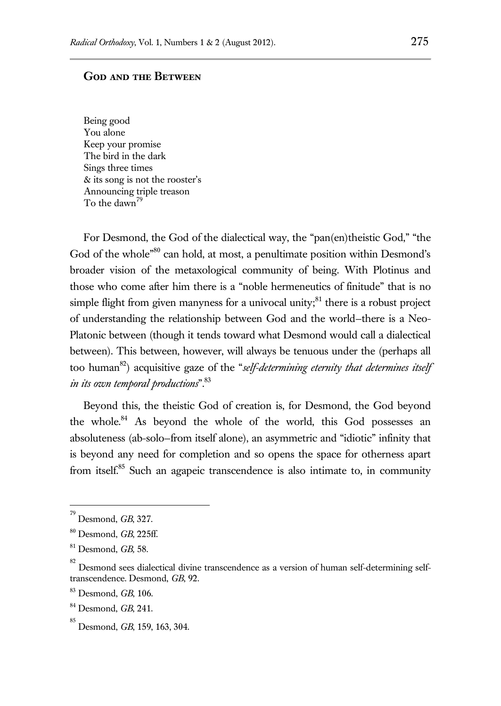# **God and the Between**

Being good You alone Keep your promise The bird in the dark Sings three times & its song is not the rooster's Announcing triple treason To the dawn<sup>79</sup>

For Desmond, the God of the dialectical way, the "pan(en)theistic God," "the God of the whole<sup>"80</sup> can hold, at most, a penultimate position within Desmond's broader vision of the metaxological community of being. With Plotinus and those who come after him there is a "noble hermeneutics of finitude" that is no simple flight from given manyness for a univocal unity; $81$  there is a robust project of understanding the relationship between God and the world—there is a Neo-Platonic between (though it tends toward what Desmond would call a dialectical between). This between, however, will always be tenuous under the (perhaps all too human<sup>82</sup>) acquisitive gaze of the "*self-determining eternity that determines itself in its own temporal productions*".<sup>83</sup>

Beyond this, the theistic God of creation is, for Desmond, the God beyond the whole.<sup>84</sup> As beyond the whole of the world, this God possesses an absoluteness (ab-solo—from itself alone), an asymmetric and "idiotic" infinity that is beyond any need for completion and so opens the space for otherness apart from itself.<sup>85</sup> Such an agapeic transcendence is also intimate to, in community

<sup>79</sup> Desmond, *GB*, 327.

<sup>80</sup> Desmond, *GB*, 225ff.

<sup>81</sup> Desmond, *GB,* 58.

<sup>82</sup> Desmond sees dialectical divine transcendence as a version of human self-determining selftranscendence. Desmond, *GB*, 92.

<sup>83</sup> Desmond, *GB*, 106.

<sup>84</sup> Desmond, *GB*, 241.

<sup>85</sup> Desmond, *GB*, 159, 163, 304.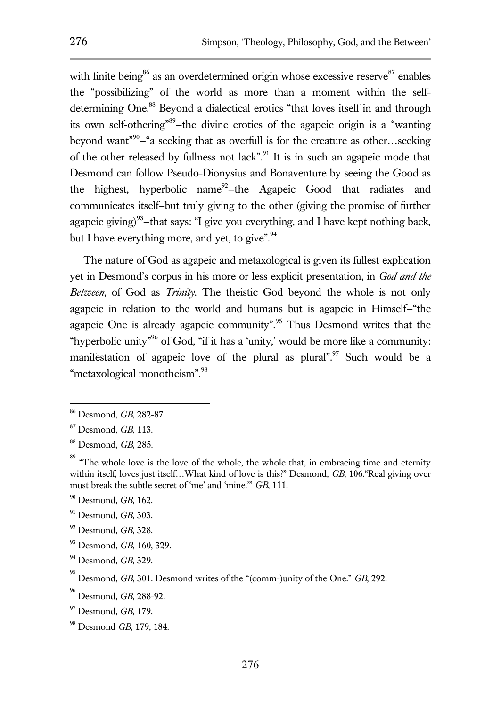with finite being<sup>86</sup> as an overdetermined origin whose excessive reserve<sup>87</sup> enables the "possibilizing" of the world as more than a moment within the selfdetermining One.<sup>88</sup> Beyond a dialectical erotics "that loves itself in and through its own self-othering"<sup>89</sup> —the divine erotics of the agapeic origin is a "wanting beyond want"<sup>90</sup>-"a seeking that as overfull is for the creature as other...seeking of the other released by fullness not lack".<sup>91</sup> It is in such an agapeic mode that Desmond can follow Pseudo-Dionysius and Bonaventure by seeing the Good as the highest, hyperbolic name<sup>92</sup>-the Agapeic Good that radiates and communicates itself—but truly giving to the other (giving the promise of further agapeic giving)<sup>93</sup>-that says: "I give you everything, and I have kept nothing back, but I have everything more, and yet, to give".

The nature of God as agapeic and metaxological is given its fullest explication yet in Desmond's corpus in his more or less explicit presentation, in *God and the Between*, of God as *Trinity*. The theistic God beyond the whole is not only agapeic in relation to the world and humans but is agapeic in Himself—"the agapeic One is already agapeic community".<sup>95</sup> Thus Desmond writes that the "hyperbolic unity"<sup>96</sup> of God, "if it has a 'unity,' would be more like a community: manifestation of agapeic love of the plural as plural".<sup>97</sup> Such would be a "metaxological monotheism".<sup>98</sup>

<sup>86</sup> Desmond, *GB*, 282-87.

<sup>87</sup> Desmond, *GB*, 113.

<sup>88</sup> Desmond, *GB*, 285.

<sup>&</sup>lt;sup>89</sup> "The whole love is the love of the whole, the whole that, in embracing time and eternity within itself, loves just itself…What kind of love is this?" Desmond, *GB*, 106."Real giving over must break the subtle secret of 'me' and 'mine.'" *GB*, 111.

<sup>90</sup> Desmond, *GB*, 162.

<sup>91</sup> Desmond, *GB*, 303.

<sup>92</sup> Desmond, *GB*, 328.

<sup>93</sup> Desmond, *GB*, 160, 329.

<sup>94</sup> Desmond, *GB*, 329.

<sup>95</sup> Desmond, *GB*, 301. Desmond writes of the "(comm-)unity of the One." *GB*, 292.

<sup>96</sup> Desmond, *GB*, 288-92.

<sup>97</sup> Desmond, *GB*, 179.

<sup>98</sup> Desmond *GB*, 179, 184.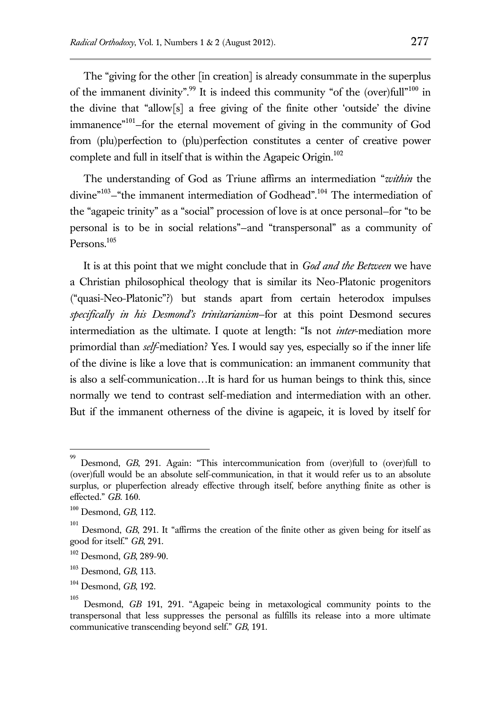The "giving for the other [in creation] is already consummate in the superplus of the immanent divinity".<sup>99</sup> It is indeed this community "of the (over)full"<sup>100</sup> in the divine that "allow[s] a free giving of the finite other 'outside' the divine immanence"<sup>101</sup>-for the eternal movement of giving in the community of God from (plu)perfection to (plu)perfection constitutes a center of creative power complete and full in itself that is within the Agapeic Origin.<sup>102</sup>

The understanding of God as Triune affirms an intermediation "*within* the divine"<sup>103</sup>-"the immanent intermediation of Godhead".<sup>104</sup> The intermediation of the "agapeic trinity" as a "social" procession of love is at once personal—for "to be personal is to be in social relations"—and "transpersonal" as a community of Persons.<sup>105</sup>

It is at this point that we might conclude that in *God and the Between* we have a Christian philosophical theology that is similar its Neo-Platonic progenitors ("quasi-Neo-Platonic"?) but stands apart from certain heterodox impulses *specifically in his Desmond's trinitarianism*—for at this point Desmond secures intermediation as the ultimate. I quote at length: "Is not *inter*-mediation more primordial than *self*-mediation? Yes. I would say yes, especially so if the inner life of the divine is like a love that is communication: an immanent community that is also a self-communication…It is hard for us human beings to think this, since normally we tend to contrast self-mediation and intermediation with an other. But if the immanent otherness of the divine is agapeic, it is loved by itself for

<sup>99</sup> Desmond, *GB*, 291. Again: "This intercommunication from (over)full to (over)full to (over)full would be an absolute self-communication, in that it would refer us to an absolute surplus, or pluperfection already effective through itself, before anything finite as other is effected." *GB*. 160.

<sup>100</sup> Desmond, *GB*, 112.

<sup>101</sup> Desmond, *GB*, 291. It "affirms the creation of the finite other as given being for itself as good for itself." *GB*, 291.

<sup>102</sup> Desmond, *GB*, 289-90.

<sup>103</sup> Desmond, *GB*, 113.

<sup>104</sup> Desmond, *GB*, 192.

<sup>105</sup> Desmond, *GB* 191, 291. "Agapeic being in metaxological community points to the transpersonal that less suppresses the personal as fulfills its release into a more ultimate communicative transcending beyond self." *GB*, 191.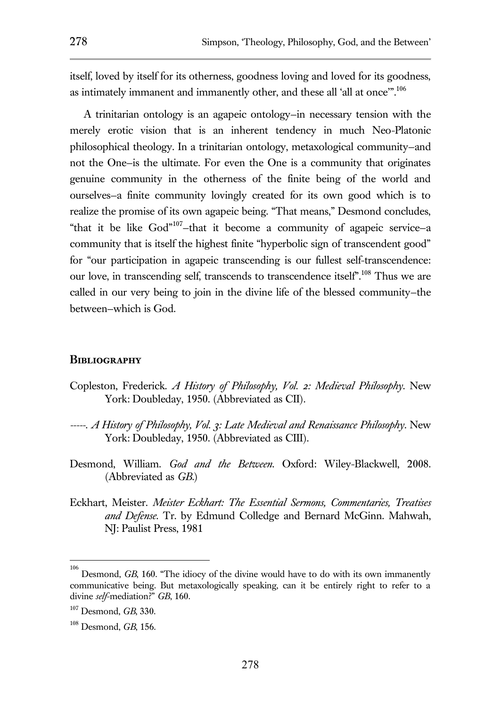itself, loved by itself for its otherness, goodness loving and loved for its goodness, as intimately immanent and immanently other, and these all 'all at once'".<sup>106</sup>

A trinitarian ontology is an agapeic ontology—in necessary tension with the merely erotic vision that is an inherent tendency in much Neo-Platonic philosophical theology. In a trinitarian ontology, metaxological community—and not the One—is the ultimate. For even the One is a community that originates genuine community in the otherness of the finite being of the world and ourselves—a finite community lovingly created for its own good which is to realize the promise of its own agapeic being. "That means," Desmond concludes, "that it be like God"<sup>107</sup>-that it become a community of agapeic service-a community that is itself the highest finite "hyperbolic sign of transcendent good" for "our participation in agapeic transcending is our fullest self-transcendence: our love, in transcending self, transcends to transcendence itself<sup>".108</sup> Thus we are called in our very being to join in the divine life of the blessed community—the between—which is God.

#### **Bibliography**

- Copleston, Frederick. *A History of Philosophy, Vol. 2: Medieval Philosophy*. New York: Doubleday, 1950. (Abbreviated as CII).
- *-----. A History of Philosophy, Vol. 3: Late Medieval and Renaissance Philosophy*. New York: Doubleday, 1950. (Abbreviated as CIII).
- Desmond, William. *God and the Between*. Oxford: Wiley-Blackwell, 2008. (Abbreviated as *GB*.)
- Eckhart, Meister. *Meister Eckhart: The Essential Sermons, Commentaries, Treatises and Defense*. Tr. by Edmund Colledge and Bernard McGinn. Mahwah, NJ: Paulist Press, 1981

<sup>&</sup>lt;sup>106</sup> Desmond, *GB*, 160. "The idiocy of the divine would have to do with its own immanently communicative being. But metaxologically speaking, can it be entirely right to refer to a divine *self*-mediation?" *GB*, 160.

<sup>107</sup> Desmond, *GB*, 330.

<sup>108</sup> Desmond, *GB*, 156.